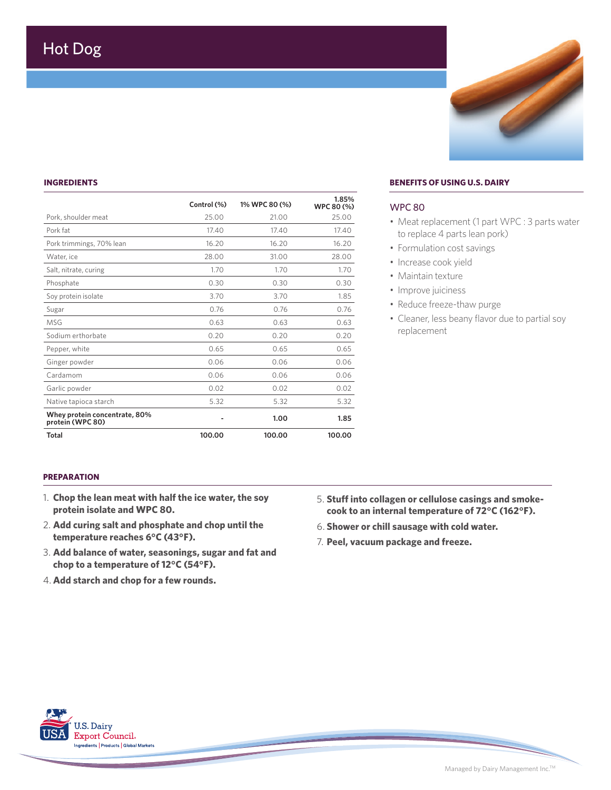## **INGREDIENTS**

|                                                   | Control (%) | 1% WPC 80 (%) | 1.85%<br>WPC 80 (%) |
|---------------------------------------------------|-------------|---------------|---------------------|
| Pork, shoulder meat                               | 25.00       | 21.00         | 25.00               |
| Pork fat                                          | 17.40       | 17.40         | 17.40               |
| Pork trimmings, 70% lean                          | 16.20       | 16.20         | 16.20               |
| Water, ice                                        | 28.00       | 31.00         | 28.00               |
| Salt, nitrate, curing                             | 1.70        | 1.70          | 1.70                |
| Phosphate                                         | 0.30        | 0.30          | 0.30                |
| Soy protein isolate                               | 3.70        | 3.70          | 1.85                |
| Sugar                                             | 0.76        | 0.76          | 0.76                |
| MSG                                               | 0.63        | 0.63          | 0.63                |
| Sodium erthorbate                                 | 0.20        | 0.20          | 0.20                |
| Pepper, white                                     | 0.65        | 0.65          | 0.65                |
| Ginger powder                                     | 0.06        | 0.06          | 0.06                |
| Cardamom                                          | 0.06        | 0.06          | 0.06                |
| Garlic powder                                     | 0.02        | 0.02          | 0.02                |
| Native tapioca starch                             | 5.32        | 5.32          | 5.32                |
| Whey protein concentrate, 80%<br>protein (WPC 80) |             | 1.00          | 1.85                |
| Total                                             | 100.00      | 100.00        | 100.00              |

### **BENEFITS OF USING U.S. DAIRY**

### WPC 80

• Meat replacement (1 part WPC : 3 parts water to replace 4 parts lean pork)

Z,

- Formulation cost savings
- Increase cook yield
- Maintain texture
- Improve juiciness
- Reduce freeze-thaw purge
- Cleaner, less beany flavor due to partial soy replacement

## **PREPARATION**

- 1. **Chop the lean meat with half the ice water, the soy protein isolate and WPC 80.**
- 2. **Add curing salt and phosphate and chop until the temperature reaches 6°C (43°F).**
- 3. **Add balance of water, seasonings, sugar and fat and chop to a temperature of 12°C (54°F).**
- 4. **Add starch and chop for a few rounds.**
- 5. **Stuff into collagen or cellulose casings and smokecook to an internal temperature of 72°C (162°F).**
- 6. **Shower or chill sausage with cold water.**
- 7. **Peel, vacuum package and freeze.**



Managed by Dairy Management Inc.TM